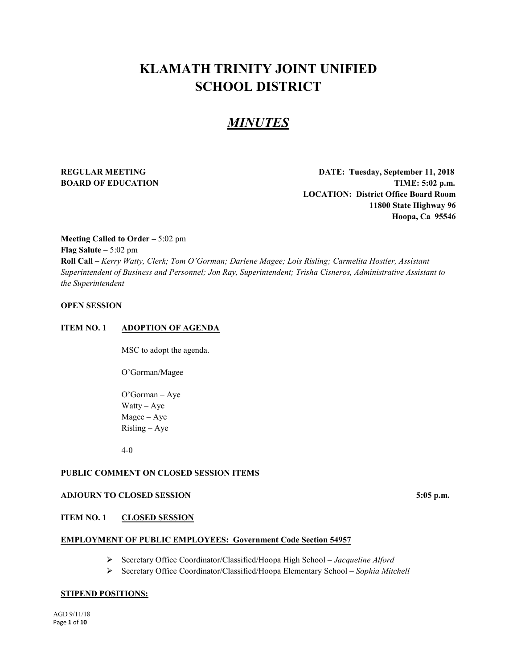# **KLAMATH TRINITY JOINT UNIFIED SCHOOL DISTRICT**

# *MINUTES*

**REGULAR MEETING DATE: Tuesday, September 11, 2018 BOARD OF EDUCATION TIME:** 5:02 p.m. **LOCATION: District Office Board Room 11800 State Highway 96 Hoopa, Ca 95546**

**Meeting Called to Order –** 5:02 pm **Flag Salute** – 5:02 pm **Roll Call –** *Kerry Watty, Clerk; Tom O'Gorman; Darlene Magee; Lois Risling; Carmelita Hostler, Assistant Superintendent of Business and Personnel; Jon Ray, Superintendent; Trisha Cisneros, Administrative Assistant to the Superintendent*

# **OPEN SESSION**

#### **ITEM NO. 1 ADOPTION OF AGENDA**

MSC to adopt the agenda.

O'Gorman/Magee

O'Gorman – Aye Watty – Aye Magee – Aye Risling – Aye

4-0

# **PUBLIC COMMENT ON CLOSED SESSION ITEMS**

#### **ADJOURN TO CLOSED SESSION 5:05 p.m.**

#### **ITEM NO. 1 CLOSED SESSION**

#### **EMPLOYMENT OF PUBLIC EMPLOYEES: Government Code Section 54957**

- Secretary Office Coordinator/Classified/Hoopa High School *Jacqueline Alford*
- Secretary Office Coordinator/Classified/Hoopa Elementary School *Sophia Mitchell*

#### **STIPEND POSITIONS:**

AGD 9/11/18 Page **1** of **10**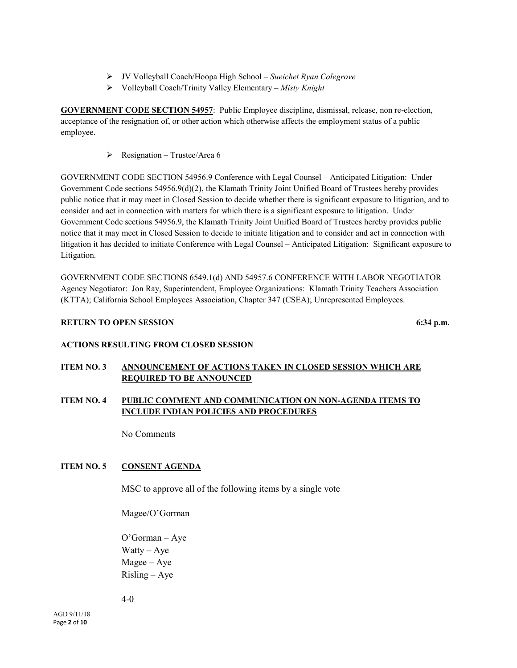- JV Volleyball Coach/Hoopa High School *Sueichet Ryan Colegrove*
- Volleyball Coach/Trinity Valley Elementary *Misty Knight*

**GOVERNMENT CODE SECTION 54957**: Public Employee discipline, dismissal, release, non re-election, acceptance of the resignation of, or other action which otherwise affects the employment status of a public employee.

 $\triangleright$  Resignation – Trustee/Area 6

GOVERNMENT CODE SECTION 54956.9 Conference with Legal Counsel – Anticipated Litigation: Under Government Code sections 54956.9(d)(2), the Klamath Trinity Joint Unified Board of Trustees hereby provides public notice that it may meet in Closed Session to decide whether there is significant exposure to litigation, and to consider and act in connection with matters for which there is a significant exposure to litigation. Under Government Code sections 54956.9, the Klamath Trinity Joint Unified Board of Trustees hereby provides public notice that it may meet in Closed Session to decide to initiate litigation and to consider and act in connection with litigation it has decided to initiate Conference with Legal Counsel – Anticipated Litigation: Significant exposure to Litigation.

GOVERNMENT CODE SECTIONS 6549.1(d) AND 54957.6 CONFERENCE WITH LABOR NEGOTIATOR Agency Negotiator: Jon Ray, Superintendent, Employee Organizations: Klamath Trinity Teachers Association (KTTA); California School Employees Association, Chapter 347 (CSEA); Unrepresented Employees.

# **RETURN TO OPEN SESSION** 6:34 p.m.

#### **ACTIONS RESULTING FROM CLOSED SESSION**

# **ITEM NO. 3 ANNOUNCEMENT OF ACTIONS TAKEN IN CLOSED SESSION WHICH ARE REQUIRED TO BE ANNOUNCED**

# **ITEM NO. 4 PUBLIC COMMENT AND COMMUNICATION ON NON-AGENDA ITEMS TO INCLUDE INDIAN POLICIES AND PROCEDURES**

No Comments

# **ITEM NO. 5 CONSENT AGENDA**

MSC to approve all of the following items by a single vote

Magee/O'Gorman

O'Gorman – Aye Watty –  $Aye$ Magee – Aye Risling – Aye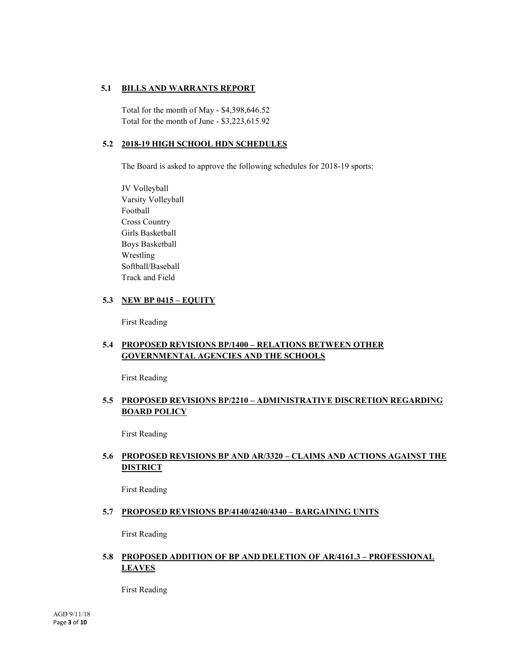# **5.1 BILLS AND WARRANTS REPORT**

Total for the month of May - \$4,398,646.52 Total for the month of June - \$3,223,615.92

# **5.2 2018-19 HIGH SCHOOL HDN SCHEDULES**

The Board is asked to approve the following schedules for 2018-19 sports:

JV Volleyball Varsity Volleyball Football Cross Country Girls Basketball Boys Basketball Wrestling Softball/Baseball Track and Field

# **5.3 NEW BP 0415 – EQUITY**

First Reading

# **5.4 PROPOSED REVISIONS BP/1400 – RELATIONS BETWEEN OTHER GOVERNMENTAL AGENCIES AND THE SCHOOLS**

First Reading

# **5.5 PROPOSED REVISIONS BP/2210 – ADMINISTRATIVE DISCRETION REGARDING BOARD POLICY**

First Reading

# **5.6 PROPOSED REVISIONS BP AND AR/3320 – CLAIMS AND ACTIONS AGAINST THE DISTRICT**

First Reading

#### **5.7 PROPOSED REVISIONS BP/4140/4240/4340 – BARGAINING UNITS**

First Reading

# **5.8 PROPOSED ADDITION OF BP AND DELETION OF AR/4161.3 – PROFESSIONAL LEAVES**

First Reading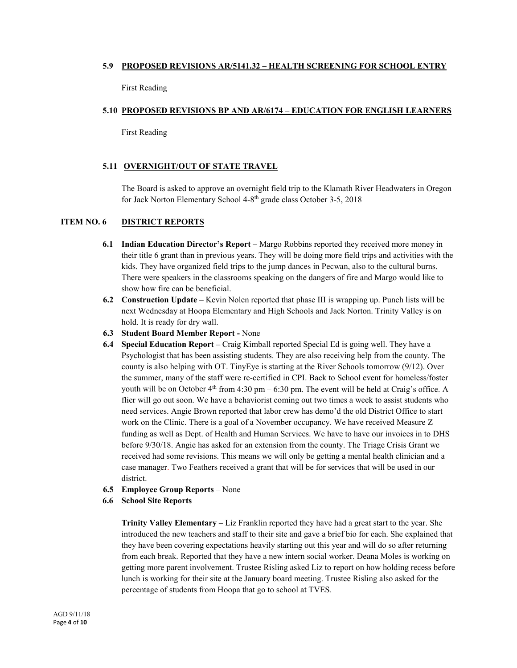### **5.9 PROPOSED REVISIONS AR/5141.32 – HEALTH SCREENING FOR SCHOOL ENTRY**

First Reading

#### **5.10 PROPOSED REVISIONS BP AND AR/6174 – EDUCATION FOR ENGLISH LEARNERS**

First Reading

#### **5.11 OVERNIGHT/OUT OF STATE TRAVEL**

The Board is asked to approve an overnight field trip to the Klamath River Headwaters in Oregon for Jack Norton Elementary School 4-8th grade class October 3-5, 2018

### **ITEM NO. 6 DISTRICT REPORTS**

- **6.1 Indian Education Director's Report** Margo Robbins reported they received more money in their title 6 grant than in previous years. They will be doing more field trips and activities with the kids. They have organized field trips to the jump dances in Pecwan, also to the cultural burns. There were speakers in the classrooms speaking on the dangers of fire and Margo would like to show how fire can be beneficial.
- **6.2 Construction Update** Kevin Nolen reported that phase III is wrapping up. Punch lists will be next Wednesday at Hoopa Elementary and High Schools and Jack Norton. Trinity Valley is on hold. It is ready for dry wall.
- **6.3 Student Board Member Report -** None
- **6.4 Special Education Report –** Craig Kimball reported Special Ed is going well. They have a Psychologist that has been assisting students. They are also receiving help from the county. The county is also helping with OT. TinyEye is starting at the River Schools tomorrow (9/12). Over the summer, many of the staff were re-certified in CPI. Back to School event for homeless/foster youth will be on October  $4<sup>th</sup>$  from 4:30 pm – 6:30 pm. The event will be held at Craig's office. A flier will go out soon. We have a behaviorist coming out two times a week to assist students who need services. Angie Brown reported that labor crew has demo'd the old District Office to start work on the Clinic. There is a goal of a November occupancy. We have received Measure Z funding as well as Dept. of Health and Human Services. We have to have our invoices in to DHS before 9/30/18. Angie has asked for an extension from the county. The Triage Crisis Grant we received had some revisions. This means we will only be getting a mental health clinician and a case manager. Two Feathers received a grant that will be for services that will be used in our district.
- **6.5 Employee Group Reports** None
- **6.6 School Site Reports**

**Trinity Valley Elementary** – Liz Franklin reported they have had a great start to the year. She introduced the new teachers and staff to their site and gave a brief bio for each. She explained that they have been covering expectations heavily starting out this year and will do so after returning from each break. Reported that they have a new intern social worker. Deana Moles is working on getting more parent involvement. Trustee Risling asked Liz to report on how holding recess before lunch is working for their site at the January board meeting. Trustee Risling also asked for the percentage of students from Hoopa that go to school at TVES.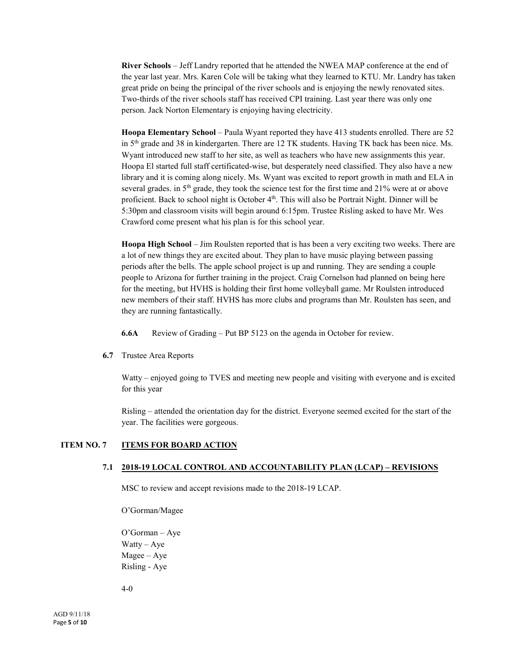**River Schools** – Jeff Landry reported that he attended the NWEA MAP conference at the end of the year last year. Mrs. Karen Cole will be taking what they learned to KTU. Mr. Landry has taken great pride on being the principal of the river schools and is enjoying the newly renovated sites. Two-thirds of the river schools staff has received CPI training. Last year there was only one person. Jack Norton Elementary is enjoying having electricity.

**Hoopa Elementary School** – Paula Wyant reported they have 413 students enrolled. There are 52 in 5<sup>th</sup> grade and 38 in kindergarten. There are 12 TK students. Having TK back has been nice. Ms. Wyant introduced new staff to her site, as well as teachers who have new assignments this year. Hoopa El started full staff certificated-wise, but desperately need classified. They also have a new library and it is coming along nicely. Ms. Wyant was excited to report growth in math and ELA in several grades. in  $5<sup>th</sup>$  grade, they took the science test for the first time and 21% were at or above proficient. Back to school night is October 4<sup>th</sup>. This will also be Portrait Night. Dinner will be 5:30pm and classroom visits will begin around 6:15pm. Trustee Risling asked to have Mr. Wes Crawford come present what his plan is for this school year.

**Hoopa High School** – Jim Roulsten reported that is has been a very exciting two weeks. There are a lot of new things they are excited about. They plan to have music playing between passing periods after the bells. The apple school project is up and running. They are sending a couple people to Arizona for further training in the project. Craig Cornelson had planned on being here for the meeting, but HVHS is holding their first home volleyball game. Mr Roulsten introduced new members of their staff. HVHS has more clubs and programs than Mr. Roulsten has seen, and they are running fantastically.

**6.6A** Review of Grading – Put BP 5123 on the agenda in October for review.

**6.7** Trustee Area Reports

Watty – enjoyed going to TVES and meeting new people and visiting with everyone and is excited for this year

Risling – attended the orientation day for the district. Everyone seemed excited for the start of the year. The facilities were gorgeous.

# **ITEM NO. 7 ITEMS FOR BOARD ACTION**

#### **7.1 2018-19 LOCAL CONTROL AND ACCOUNTABILITY PLAN (LCAP) – REVISIONS**

MSC to review and accept revisions made to the 2018-19 LCAP.

O'Gorman/Magee

O'Gorman – Aye Watty – Aye Magee – Aye Risling - Aye

4-0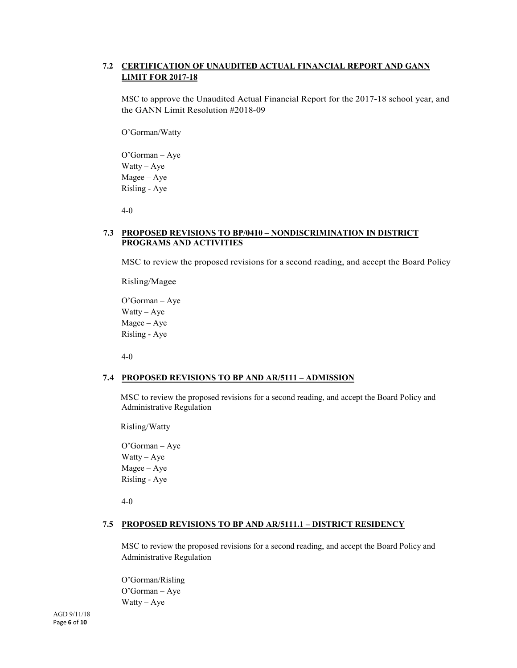# **7.2 CERTIFICATION OF UNAUDITED ACTUAL FINANCIAL REPORT AND GANN LIMIT FOR 2017-18**

MSC to approve the Unaudited Actual Financial Report for the 2017-18 school year, and the GANN Limit Resolution #2018-09

O'Gorman/Watty

O'Gorman – Aye Watty – Aye Magee – Aye Risling - Aye

4-0

#### **7.3 PROPOSED REVISIONS TO BP/0410 – NONDISCRIMINATION IN DISTRICT PROGRAMS AND ACTIVITIES**

MSC to review the proposed revisions for a second reading, and accept the Board Policy

Risling/Magee

O'Gorman – Aye Watty – Aye Magee – Aye Risling - Aye

4-0

#### **7.4 PROPOSED REVISIONS TO BP AND AR/5111 – ADMISSION**

MSC to review the proposed revisions for a second reading, and accept the Board Policy and Administrative Regulation

Risling/Watty

O'Gorman – Aye Watty – Aye Magee – Aye Risling - Aye

4-0

#### **7.5 PROPOSED REVISIONS TO BP AND AR/5111.1 – DISTRICT RESIDENCY**

MSC to review the proposed revisions for a second reading, and accept the Board Policy and Administrative Regulation

O'Gorman/Risling O'Gorman – Aye Watty –  $Aye$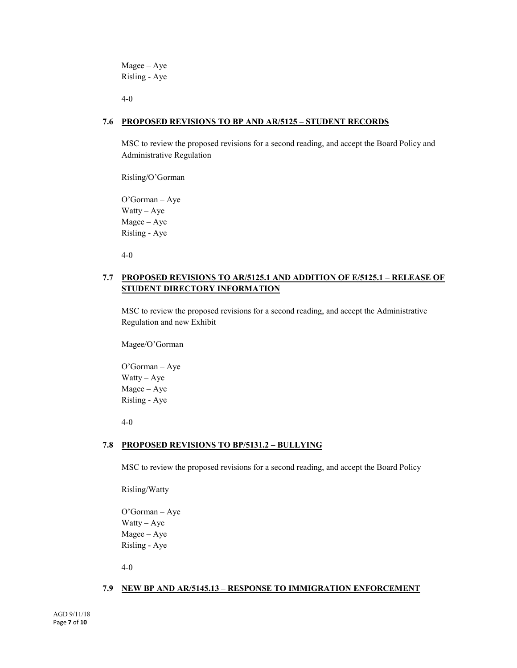Magee – Aye Risling - Aye

4-0

#### **7.6 PROPOSED REVISIONS TO BP AND AR/5125 – STUDENT RECORDS**

MSC to review the proposed revisions for a second reading, and accept the Board Policy and Administrative Regulation

Risling/O'Gorman

O'Gorman – Aye Watty – Aye Magee – Aye Risling - Aye

4-0

# **7.7 PROPOSED REVISIONS TO AR/5125.1 AND ADDITION OF E/5125.1 – RELEASE OF STUDENT DIRECTORY INFORMATION**

MSC to review the proposed revisions for a second reading, and accept the Administrative Regulation and new Exhibit

Magee/O'Gorman

O'Gorman – Aye Watty – Aye Magee – Aye Risling - Aye

4-0

#### **7.8 PROPOSED REVISIONS TO BP/5131.2 – BULLYING**

MSC to review the proposed revisions for a second reading, and accept the Board Policy

Risling/Watty

O'Gorman – Aye Watty – Aye Magee – Aye Risling - Aye

4-0

#### **7.9 NEW BP AND AR/5145.13 – RESPONSE TO IMMIGRATION ENFORCEMENT**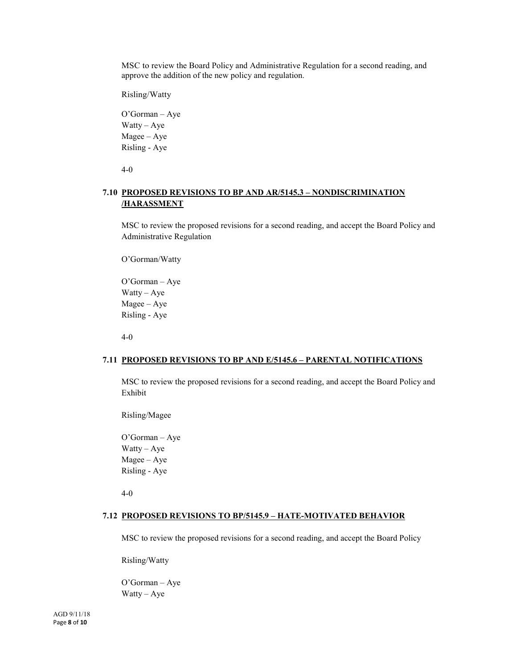MSC to review the Board Policy and Administrative Regulation for a second reading, and approve the addition of the new policy and regulation.

Risling/Watty

O'Gorman – Aye Watty – Aye Magee – Aye Risling - Aye

4-0

# **7.10 PROPOSED REVISIONS TO BP AND AR/5145.3 – NONDISCRIMINATION /HARASSMENT**

MSC to review the proposed revisions for a second reading, and accept the Board Policy and Administrative Regulation

O'Gorman/Watty

O'Gorman – Aye Watty – Aye Magee – Aye Risling - Aye

4-0

#### **7.11 PROPOSED REVISIONS TO BP AND E/5145.6 – PARENTAL NOTIFICATIONS**

MSC to review the proposed revisions for a second reading, and accept the Board Policy and Exhibit

Risling/Magee

O'Gorman – Aye Watty – Aye Magee – Aye Risling - Aye

4-0

#### **7.12 PROPOSED REVISIONS TO BP/5145.9 – HATE-MOTIVATED BEHAVIOR**

MSC to review the proposed revisions for a second reading, and accept the Board Policy

Risling/Watty

O'Gorman – Aye Watty – Aye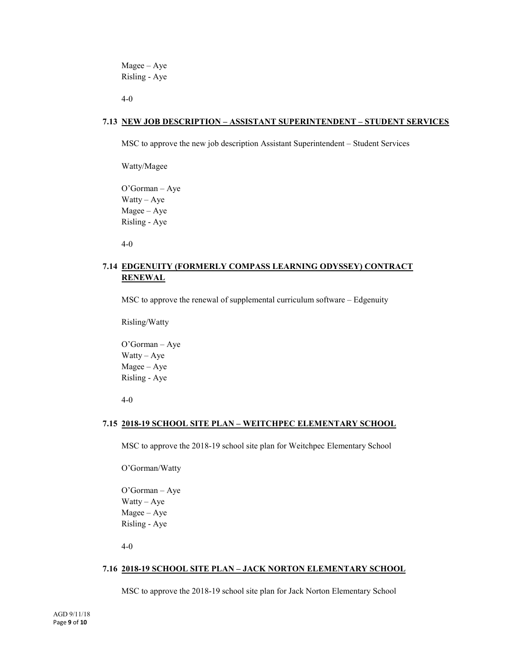Magee – Aye Risling - Aye

4-0

#### **7.13 NEW JOB DESCRIPTION – ASSISTANT SUPERINTENDENT – STUDENT SERVICES**

MSC to approve the new job description Assistant Superintendent – Student Services

Watty/Magee

O'Gorman – Aye Watty – Aye Magee – Aye Risling - Aye

4-0

# **7.14 EDGENUITY (FORMERLY COMPASS LEARNING ODYSSEY) CONTRACT RENEWAL**

MSC to approve the renewal of supplemental curriculum software – Edgenuity

Risling/Watty

O'Gorman – Aye Watty – Aye Magee – Aye Risling - Aye

4-0

#### **7.15 2018-19 SCHOOL SITE PLAN – WEITCHPEC ELEMENTARY SCHOOL**

MSC to approve the 2018-19 school site plan for Weitchpec Elementary School

O'Gorman/Watty

O'Gorman – Aye Watty – Aye Magee – Aye Risling - Aye

4-0

#### **7.16 2018-19 SCHOOL SITE PLAN – JACK NORTON ELEMENTARY SCHOOL**

MSC to approve the 2018-19 school site plan for Jack Norton Elementary School